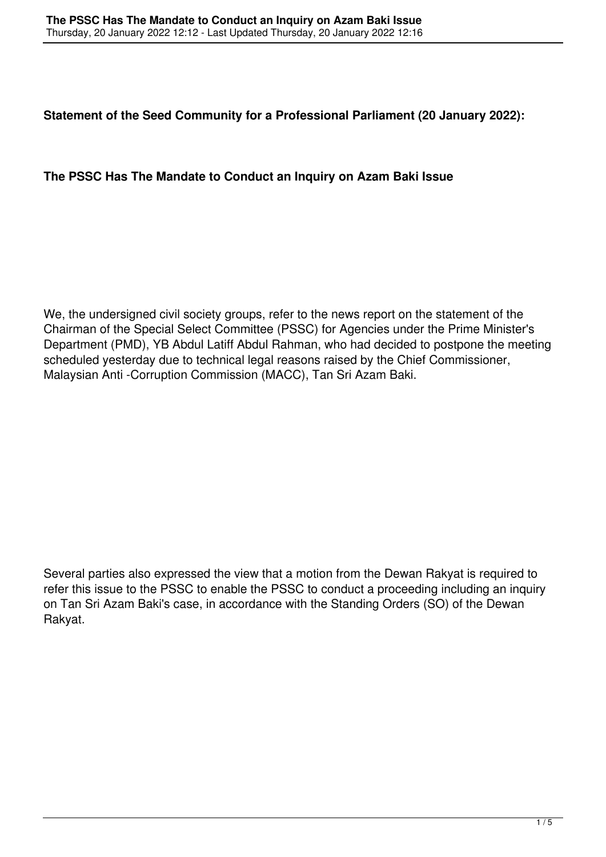**Statement of the Seed Community for a Professional Parliament (20 January 2022):** 

## **The PSSC Has The Mandate to Conduct an Inquiry on Azam Baki Issue**

We, the undersigned civil society groups, refer to the news report on the statement of the Chairman of the Special Select Committee (PSSC) for Agencies under the Prime Minister's Department (PMD), YB Abdul Latiff Abdul Rahman, who had decided to postpone the meeting scheduled yesterday due to technical legal reasons raised by the Chief Commissioner, Malaysian Anti -Corruption Commission (MACC), Tan Sri Azam Baki.

Several parties also expressed the view that a motion from the Dewan Rakyat is required to refer this issue to the PSSC to enable the PSSC to conduct a proceeding including an inquiry on Tan Sri Azam Baki's case, in accordance with the Standing Orders (SO) of the Dewan Rakyat.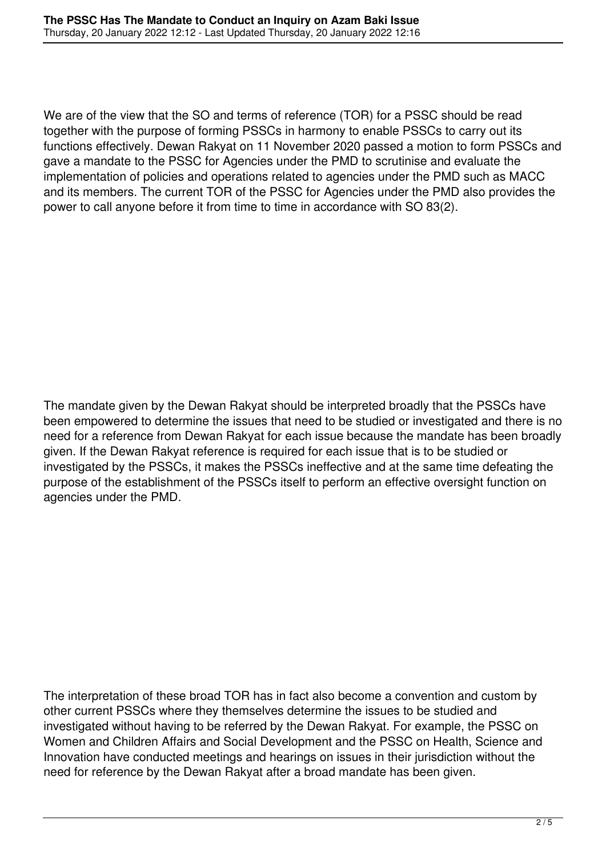We are of the view that the SO and terms of reference (TOR) for a PSSC should be read together with the purpose of forming PSSCs in harmony to enable PSSCs to carry out its functions effectively. Dewan Rakyat on 11 November 2020 passed a motion to form PSSCs and gave a mandate to the PSSC for Agencies under the PMD to scrutinise and evaluate the implementation of policies and operations related to agencies under the PMD such as MACC and its members. The current TOR of the PSSC for Agencies under the PMD also provides the power to call anyone before it from time to time in accordance with SO 83(2).

The mandate given by the Dewan Rakyat should be interpreted broadly that the PSSCs have been empowered to determine the issues that need to be studied or investigated and there is no need for a reference from Dewan Rakyat for each issue because the mandate has been broadly given. If the Dewan Rakyat reference is required for each issue that is to be studied or investigated by the PSSCs, it makes the PSSCs ineffective and at the same time defeating the purpose of the establishment of the PSSCs itself to perform an effective oversight function on agencies under the PMD.

The interpretation of these broad TOR has in fact also become a convention and custom by other current PSSCs where they themselves determine the issues to be studied and investigated without having to be referred by the Dewan Rakyat. For example, the PSSC on Women and Children Affairs and Social Development and the PSSC on Health, Science and Innovation have conducted meetings and hearings on issues in their jurisdiction without the need for reference by the Dewan Rakyat after a broad mandate has been given.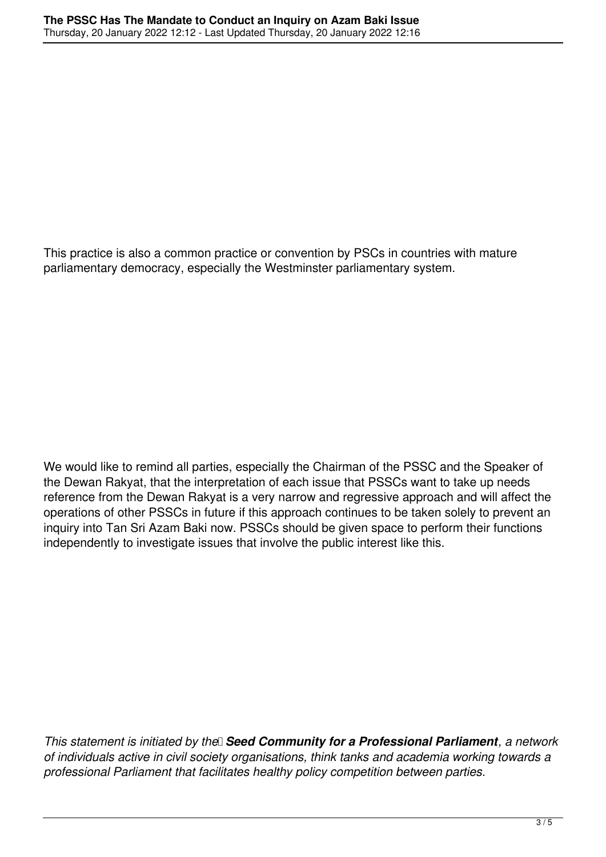This practice is also a common practice or convention by PSCs in countries with mature parliamentary democracy, especially the Westminster parliamentary system.

We would like to remind all parties, especially the Chairman of the PSSC and the Speaker of the Dewan Rakyat, that the interpretation of each issue that PSSCs want to take up needs reference from the Dewan Rakyat is a very narrow and regressive approach and will affect the operations of other PSSCs in future if this approach continues to be taken solely to prevent an inquiry into Tan Sri Azam Baki now. PSSCs should be given space to perform their functions independently to investigate issues that involve the public interest like this.

*This statement is initiated by the* 3**Seed Community for a Professional Parliament**, a network *of individuals active in civil society organisations, think tanks and academia working towards a professional Parliament that facilitates healthy policy competition between parties.*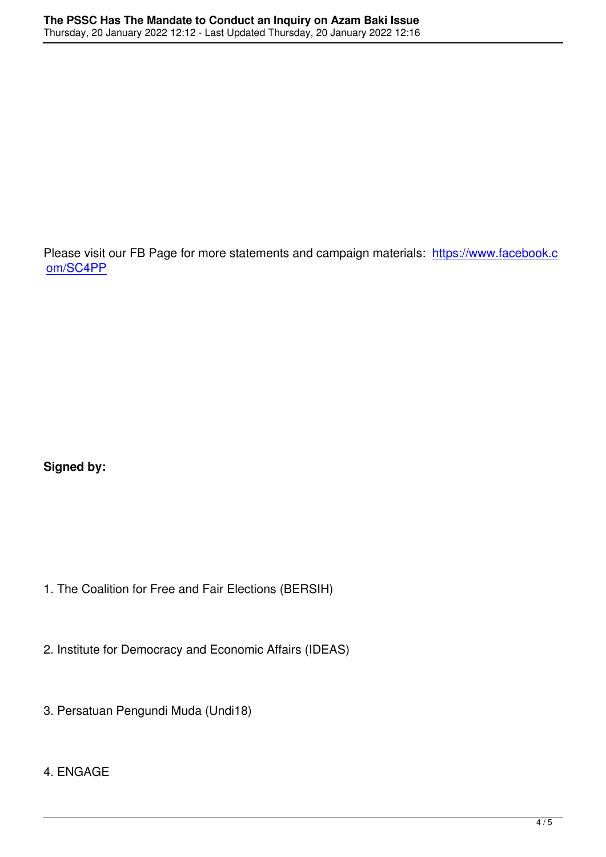Please visit our FB Page for more statements and campaign materials: https://www.facebook.c om/SC4PP

**Signed by:**

- 1. The Coalition for Free and Fair Elections (BERSIH)
- 2. Institute for Democracy and Economic Affairs (IDEAS)
- 3. Persatuan Pengundi Muda (Undi18)

## 4. ENGAGE